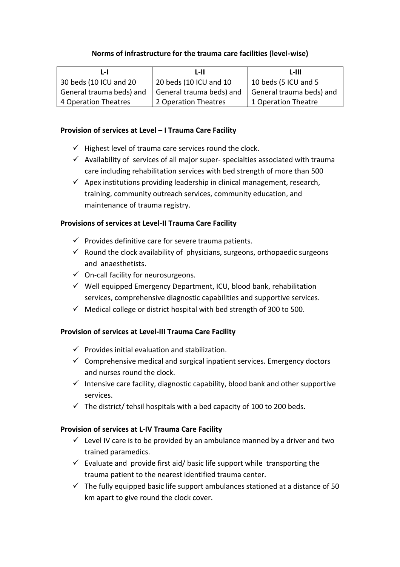#### **Norms of infrastructure for the trauma care facilities (level-wise)**

| L-I                      | L-II                     | L-III.                   |
|--------------------------|--------------------------|--------------------------|
| 30 beds (10 ICU and 20   | 20 beds (10 ICU and 10   | 10 beds (5 ICU and 5     |
| General trauma beds) and | General trauma beds) and | General trauma beds) and |
| 4 Operation Theatres     | 2 Operation Theatres     | 1 Operation Theatre      |

#### **Provision of services at Level – I Trauma Care Facility**

- $\checkmark$  Highest level of trauma care services round the clock.
- $\checkmark$  Availability of services of all major super-specialties associated with trauma care including rehabilitation services with bed strength of more than 500
- $\checkmark$  Apex institutions providing leadership in clinical management, research, training, community outreach services, community education, and maintenance of trauma registry.

#### **Provisions of services at Level-II Trauma Care Facility**

- $\checkmark$  Provides definitive care for severe trauma patients.
- $\checkmark$  Round the clock availability of physicians, surgeons, orthopaedic surgeons and anaesthetists.
- $\checkmark$  On-call facility for neurosurgeons.
- $\checkmark$  Well equipped Emergency Department, ICU, blood bank, rehabilitation services, comprehensive diagnostic capabilities and supportive services.
- $\checkmark$  Medical college or district hospital with bed strength of 300 to 500.

#### **Provision of services at Level-III Trauma Care Facility**

- $\checkmark$  Provides initial evaluation and stabilization.
- $\checkmark$  Comprehensive medical and surgical inpatient services. Emergency doctors and nurses round the clock.
- $\checkmark$  Intensive care facility, diagnostic capability, blood bank and other supportive services.
- $\checkmark$  The district/ tehsil hospitals with a bed capacity of 100 to 200 beds.

#### **Provision of services at L-IV Trauma Care Facility**

- $\checkmark$  Level IV care is to be provided by an ambulance manned by a driver and two trained paramedics.
- $\checkmark$  Evaluate and provide first aid/ basic life support while transporting the trauma patient to the nearest identified trauma center.
- $\checkmark$  The fully equipped basic life support ambulances stationed at a distance of 50 km apart to give round the clock cover.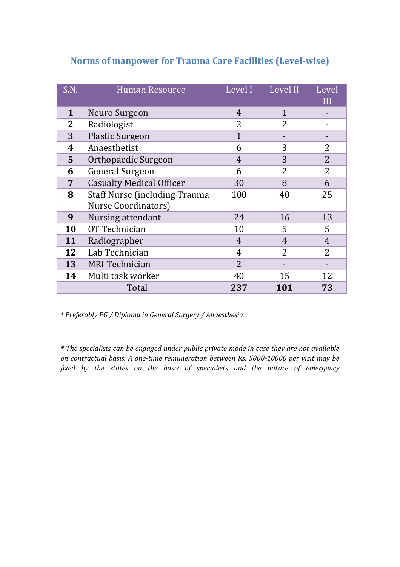## **Norms of manpower for Trauma Care Facilities (Level-wise)**

| S.N.         | <b>Human Resource</b>                                               | Level I        | Level II       | Level<br>III   |
|--------------|---------------------------------------------------------------------|----------------|----------------|----------------|
| 1            | Neuro Surgeon                                                       | 4              | 1              |                |
| $\mathbf{2}$ | Radiologist                                                         | $\overline{2}$ | $\overline{2}$ |                |
| 3            | <b>Plastic Surgeon</b>                                              | $\mathbf{1}$   |                |                |
| 4            | Anaesthetist                                                        | 6              | 3              | $\overline{2}$ |
| 5            | Orthopaedic Surgeon                                                 | $\overline{4}$ | 3              | $\overline{2}$ |
| 6            | <b>General Surgeon</b>                                              | 6              | $\overline{2}$ | $\overline{2}$ |
| 7            | <b>Casualty Medical Officer</b>                                     | 30             | 8              | 6              |
| 8            | <b>Staff Nurse (including Trauma</b><br><b>Nurse Coordinators</b> ) | 100            | 40             | 25             |
| 9            | Nursing attendant                                                   | 24             | 16             | 13             |
| 10           | OT Technician                                                       | 10             | 5              | 5              |
| 11           | Radiographer                                                        | $\overline{4}$ | $\overline{4}$ | $\overline{4}$ |
| 12           | Lab Technician                                                      | 4              | $\overline{2}$ | $\overline{2}$ |
| 13           | <b>MRI</b> Technician                                               | $\overline{2}$ |                |                |
| 14           | Multi task worker                                                   | 40             | 15             | 12             |
|              | Total                                                               | 237            | 101            | 73             |

*\* Preferably PG / Diploma in General Surgery / Anaesthesia*

*\* The specialists can be engaged under public private mode in case they are not available on contractual basis. A one-time remuneration between Rs. 5000-10000 per visit may be fixed by the states on the basis of specialists and the nature of emergency*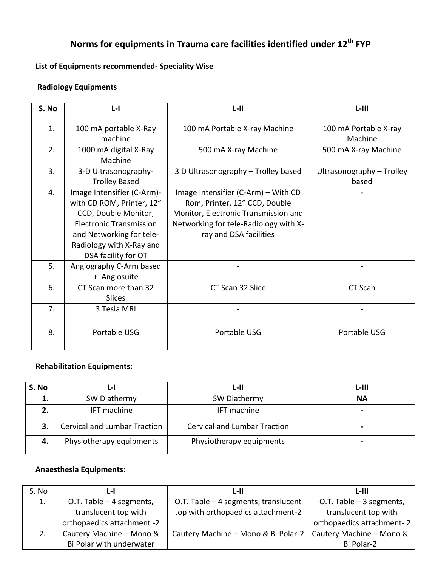# **Norms for equipments in Trauma care facilities identified under 12th FYP**

## **List of Equipments recommended- Speciality Wise**

## **Radiology Equipments**

| S. No | $L - I$                        | $L-H$                                 | L-III                     |
|-------|--------------------------------|---------------------------------------|---------------------------|
| 1.    | 100 mA portable X-Ray          | 100 mA Portable X-ray Machine         | 100 mA Portable X-ray     |
|       | machine                        |                                       | Machine                   |
| 2.    | 1000 mA digital X-Ray          | 500 mA X-ray Machine                  | 500 mA X-ray Machine      |
|       | Machine                        |                                       |                           |
| 3.    | 3-D Ultrasonography-           | 3 D Ultrasonography - Trolley based   | Ultrasonography - Trolley |
|       | <b>Trolley Based</b>           |                                       | based                     |
| 4.    | Image Intensifier (C-Arm)-     | Image Intensifier (C-Arm) – With CD   |                           |
|       | with CD ROM, Printer, 12"      | Rom, Printer, 12" CCD, Double         |                           |
|       | CCD, Double Monitor,           | Monitor, Electronic Transmission and  |                           |
|       | <b>Electronic Transmission</b> | Networking for tele-Radiology with X- |                           |
|       | and Networking for tele-       | ray and DSA facilities                |                           |
|       | Radiology with X-Ray and       |                                       |                           |
|       | DSA facility for OT            |                                       |                           |
| 5.    | Angiography C-Arm based        |                                       |                           |
|       | + Angiosuite                   |                                       |                           |
| 6.    | CT Scan more than 32           | CT Scan 32 Slice                      | CT Scan                   |
|       | <b>Slices</b>                  |                                       |                           |
| 7.    | 3 Tesla MRI                    |                                       |                           |
|       |                                |                                       |                           |
| 8.    | Portable USG                   | Portable USG                          | Portable USG              |

#### **Rehabilitation Equipments:**

| S. No | L-I                                 | L-II                                | L-III          |
|-------|-------------------------------------|-------------------------------------|----------------|
|       | SW Diathermy                        | SW Diathermy                        | <b>NA</b>      |
|       | <b>IFT</b> machine                  | <b>IFT</b> machine                  | $\blacksquare$ |
| З.    | <b>Cervical and Lumbar Traction</b> | <b>Cervical and Lumbar Traction</b> | $\blacksquare$ |
| 4.    | Physiotherapy equipments            | Physiotherapy equipments            | $\blacksquare$ |

## **Anaesthesia Equipments:**

| S. No | L-I                        | L-II                                                           | L-III                     |
|-------|----------------------------|----------------------------------------------------------------|---------------------------|
| 1.    | O.T. Table $-4$ segments,  | O.T. Table - 4 segments, translucent                           | O.T. Table $-3$ segments, |
|       | translucent top with       | top with orthopaedics attachment-2                             | translucent top with      |
|       | orthopaedics attachment -2 |                                                                | orthopaedics attachment-2 |
| 2.    | Cautery Machine - Mono &   | Cautery Machine – Mono & Bi Polar-2   Cautery Machine – Mono & |                           |
|       | Bi Polar with underwater   |                                                                | Bi Polar-2                |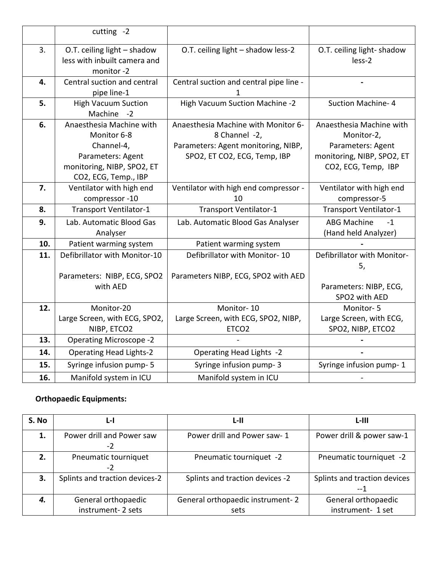|     | cutting $-2$                                                             |                                         |                                     |
|-----|--------------------------------------------------------------------------|-----------------------------------------|-------------------------------------|
| 3.  | O.T. ceiling light - shadow<br>less with inbuilt camera and<br>monitor-2 | O.T. ceiling light - shadow less-2      | O.T. ceiling light-shadow<br>less-2 |
| 4.  | Central suction and central                                              | Central suction and central pipe line - |                                     |
|     | pipe line-1                                                              |                                         |                                     |
| 5.  | <b>High Vacuum Suction</b>                                               | High Vacuum Suction Machine -2          | <b>Suction Machine-4</b>            |
|     | Machine -2                                                               |                                         |                                     |
| 6.  | Anaesthesia Machine with                                                 | Anaesthesia Machine with Monitor 6-     | Anaesthesia Machine with            |
|     | Monitor 6-8                                                              | 8 Channel -2,                           | Monitor-2,                          |
|     | Channel-4,                                                               | Parameters: Agent monitoring, NIBP,     | Parameters: Agent                   |
|     | Parameters: Agent                                                        | SPO2, ET CO2, ECG, Temp, IBP            | monitoring, NIBP, SPO2, ET          |
|     | monitoring, NIBP, SPO2, ET                                               |                                         | CO2, ECG, Temp, IBP                 |
|     | CO2, ECG, Temp., IBP                                                     |                                         |                                     |
| 7.  | Ventilator with high end                                                 | Ventilator with high end compressor -   | Ventilator with high end            |
|     | compressor -10                                                           | 10                                      | compressor-5                        |
| 8.  | Transport Ventilator-1                                                   | Transport Ventilator-1                  | Transport Ventilator-1              |
| 9.  | Lab. Automatic Blood Gas                                                 | Lab. Automatic Blood Gas Analyser       | <b>ABG Machine</b><br>$-1$          |
|     | Analyser                                                                 |                                         | (Hand held Analyzer)                |
| 10. | Patient warming system                                                   | Patient warming system                  |                                     |
| 11. | Defibrillator with Monitor-10                                            | Defibrillator with Monitor-10           | Defibrillator with Monitor-         |
|     |                                                                          |                                         | 5,                                  |
|     | Parameters: NIBP, ECG, SPO2                                              | Parameters NIBP, ECG, SPO2 with AED     |                                     |
|     | with AED                                                                 |                                         | Parameters: NIBP, ECG,              |
|     |                                                                          |                                         | SPO2 with AED                       |
| 12. | Monitor-20                                                               | Monitor-10                              | Monitor-5                           |
|     | Large Screen, with ECG, SPO2,                                            | Large Screen, with ECG, SPO2, NIBP,     | Large Screen, with ECG,             |
|     | NIBP, ETCO2                                                              | ETCO <sub>2</sub>                       | SPO2, NIBP, ETCO2                   |
| 13. | <b>Operating Microscope -2</b>                                           |                                         |                                     |
| 14. | <b>Operating Head Lights-2</b>                                           | Operating Head Lights -2                |                                     |
| 15. | Syringe infusion pump- 5                                                 | Syringe infusion pump-3                 | Syringe infusion pump-1             |
| 16. | Manifold system in ICU                                                   | Manifold system in ICU                  |                                     |

## **Orthopaedic Equipments:**

| S. No | L-I                               | L-II                             | L-III                                |
|-------|-----------------------------------|----------------------------------|--------------------------------------|
| 1.    | Power drill and Power saw<br>$-2$ | Power drill and Power saw-1      | Power drill & power saw-1            |
| 2.    | Pneumatic tourniquet<br>$-2$      | Pneumatic tourniquet -2          | Pneumatic tourniquet -2              |
| 3.    | Splints and traction devices-2    | Splints and traction devices -2  | Splints and traction devices<br>$-1$ |
| 4.    | General orthopaedic               | General orthopaedic instrument-2 | General orthopaedic                  |
|       | instrument-2 sets                 | sets                             | instrument- 1 set                    |